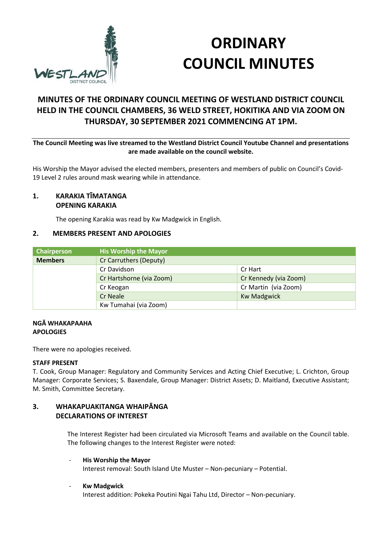

# **ORDINARY COUNCIL MINUTES**

# **MINUTES OF THE ORDINARY COUNCIL MEETING OF WESTLAND DISTRICT COUNCIL HELD IN THE COUNCIL CHAMBERS, 36 WELD STREET, HOKITIKA AND VIA ZOOM ON THURSDAY, 30 SEPTEMBER 2021 COMMENCING AT 1PM.**

**The Council Meeting was live streamed to the Westland District Council Youtube Channel and presentations are made available on the council website.**

His Worship the Mayor advised the elected members, presenters and members of public on Council's Covid-19 Level 2 rules around mask wearing while in attendance.

#### **1. KARAKIA TĪMATANGA OPENING KARAKIA**

The opening Karakia was read by Kw Madgwick in English.

# **2. MEMBERS PRESENT AND APOLOGIES**

| Chairperson    | <b>His Worship the Mayor</b> |                       |
|----------------|------------------------------|-----------------------|
| <b>Members</b> | Cr Carruthers (Deputy)       |                       |
|                | Cr Davidson                  | Cr Hart               |
|                | Cr Hartshorne (via Zoom)     | Cr Kennedy (via Zoom) |
|                | Cr Keogan                    | Cr Martin (via Zoom)  |
|                | <b>Cr Neale</b>              | <b>Kw Madgwick</b>    |
|                | Kw Tumahai (via Zoom)        |                       |

#### **NGĀ WHAKAPAAHA APOLOGIES**

There were no apologies received.

#### **STAFF PRESENT**

T. Cook, Group Manager: Regulatory and Community Services and Acting Chief Executive; L. Crichton, Group Manager: Corporate Services; S. Baxendale, Group Manager: District Assets; D. Maitland, Executive Assistant; M. Smith, Committee Secretary.

#### **3. WHAKAPUAKITANGA WHAIPĀNGA DECLARATIONS OF INTEREST**

The Interest Register had been circulated via Microsoft Teams and available on the Council table. The following changes to the Interest Register were noted:

- **His Worship the Mayor** Interest removal: South Island Ute Muster – Non-pecuniary – Potential.
- **Kw Madgwick**

Interest addition: Pokeka Poutini Ngai Tahu Ltd, Director – Non-pecuniary.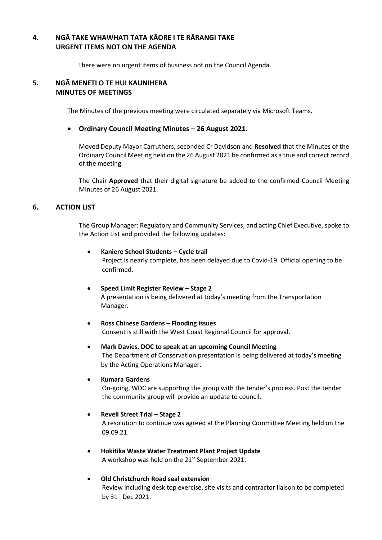# **4. NGĀ TAKE WHAWHATI TATA KĀORE I TE RĀRANGI TAKE URGENT ITEMS NOT ON THE AGENDA**

There were no urgent items of business not on the Council Agenda.

#### **5. NGĀ MENETI O TE HUI KAUNIHERA MINUTES OF MEETINGS**

The Minutes of the previous meeting were circulated separately via Microsoft Teams.

#### **Ordinary Council Meeting Minutes – 26 August 2021.**

Moved Deputy Mayor Carruthers, seconded Cr Davidson and **Resolved** that the Minutes of the Ordinary Council Meeting held on the 26 August 2021 be confirmed as a true and correct record of the meeting.

The Chair **Approved** that their digital signature be added to the confirmed Council Meeting Minutes of 26 August 2021.

#### **6. ACTION LIST**

The Group Manager: Regulatory and Community Services, and acting Chief Executive, spoke to the Action List and provided the following updates:

# **Kaniere School Students – Cycle trail** Project is nearly complete, has been delayed due to Covid-19. Official opening to be confirmed.

- **Speed Limit Register Review – Stage 2** A presentation is being delivered at today's meeting from the Transportation Manager.
- **Ross Chinese Gardens – Flooding issues** Consent is still with the West Coast Regional Council for approval.
- **Mark Davies, DOC to speak at an upcoming Council Meeting** The Department of Conservation presentation is being delivered at today's meeting by the Acting Operations Manager.

#### **Kumara Gardens**

On-going, WDC are supporting the group with the tender's process. Post the tender the community group will provide an update to council.

#### **Revell Street Trial – Stage 2**

A resolution to continue was agreed at the Planning Committee Meeting held on the 09.09.21.

 **Hokitika Waste Water Treatment Plant Project Update** A workshop was held on the 21<sup>st</sup> September 2021.

#### **Old Christchurch Road seal extension**

Review including desk top exercise, site visits and contractor liaison to be completed by 31st Dec 2021.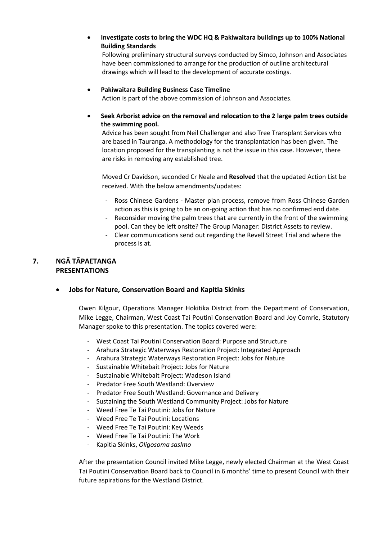**Investigate costs to bring the WDC HQ & Pakiwaitara buildings up to 100% National Building Standards**

Following preliminary structural surveys conducted by Simco, Johnson and Associates have been commissioned to arrange for the production of outline architectural drawings which will lead to the development of accurate costings.

#### **Pakiwaitara Building Business Case Timeline**

Action is part of the above commission of Johnson and Associates.

 **Seek Arborist advice on the removal and relocation to the 2 large palm trees outside the swimming pool.**

Advice has been sought from Neil Challenger and also Tree Transplant Services who are based in Tauranga. A methodology for the transplantation has been given. The location proposed for the transplanting is not the issue in this case. However, there are risks in removing any established tree.

Moved Cr Davidson, seconded Cr Neale and **Resolved** that the updated Action List be received. With the below amendments/updates:

- Ross Chinese Gardens Master plan process, remove from Ross Chinese Garden action as this is going to be an on-going action that has no confirmed end date.
- Reconsider moving the palm trees that are currently in the front of the swimming pool. Can they be left onsite? The Group Manager: District Assets to review.
- Clear communications send out regarding the Revell Street Trial and where the process is at.

# **7. NGĀ TĀPAETANGA PRESENTATIONS**

#### **Jobs for Nature, Conservation Board and Kapitia Skinks**

Owen Kilgour, Operations Manager Hokitika District from the Department of Conservation, Mike Legge, Chairman, West Coast Tai Poutini Conservation Board and Joy Comrie, Statutory Manager spoke to this presentation. The topics covered were:

- West Coast Tai Poutini Conservation Board: Purpose and Structure
- Arahura Strategic Waterways Restoration Project: Integrated Approach
- Arahura Strategic Waterways Restoration Project: Jobs for Nature
- Sustainable Whitebait Project: Jobs for Nature
- Sustainable Whitebait Project: Wadeson Island
- Predator Free South Westland: Overview
- Predator Free South Westland: Governance and Delivery
- Sustaining the South Westland Community Project: Jobs for Nature
- Weed Free Te Tai Poutini: Jobs for Nature
- Weed Free Te Tai Poutini: Locations
- Weed Free Te Tai Poutini: Key Weeds
- Weed Free Te Tai Poutini: The Work
- Kapitia Skinks, *Oligosoma saslmo*

After the presentation Council invited Mike Legge, newly elected Chairman at the West Coast Tai Poutini Conservation Board back to Council in 6 months' time to present Council with their future aspirations for the Westland District.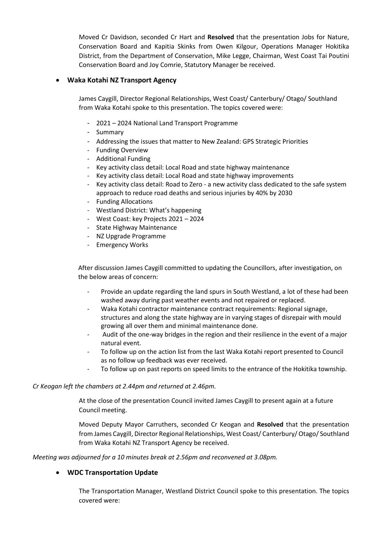Moved Cr Davidson, seconded Cr Hart and **Resolved** that the presentation Jobs for Nature, Conservation Board and Kapitia Skinks from Owen Kilgour, Operations Manager Hokitika District, from the Department of Conservation, Mike Legge, Chairman, West Coast Tai Poutini Conservation Board and Joy Comrie, Statutory Manager be received.

#### **Waka Kotahi NZ Transport Agency**

James Caygill, Director Regional Relationships, West Coast/ Canterbury/ Otago/ Southland from Waka Kotahi spoke to this presentation. The topics covered were:

- 2021 2024 National Land Transport Programme
- Summary
- Addressing the issues that matter to New Zealand: GPS Strategic Priorities
- Funding Overview
- Additional Funding
- Key activity class detail: Local Road and state highway maintenance
- Key activity class detail: Local Road and state highway improvements
- Key activity class detail: Road to Zero a new activity class dedicated to the safe system approach to reduce road deaths and serious injuries by 40% by 2030
- Funding Allocations
- Westland District: What's happening
- West Coast: key Projects 2021 2024
- State Highway Maintenance
- NZ Upgrade Programme
- Emergency Works

After discussion James Caygill committed to updating the Councillors, after investigation, on the below areas of concern:

- Provide an update regarding the land spurs in South Westland, a lot of these had been washed away during past weather events and not repaired or replaced.
- Waka Kotahi contractor maintenance contract requirements: Regional signage, structures and along the state highway are in varying stages of disrepair with mould growing all over them and minimal maintenance done.
- Audit of the one-way bridges in the region and their resilience in the event of a major natural event.
- To follow up on the action list from the last Waka Kotahi report presented to Council as no follow up feedback was ever received.
- To follow up on past reports on speed limits to the entrance of the Hokitika township.

#### *Cr Keogan left the chambers at 2.44pm and returned at 2.46pm.*

At the close of the presentation Council invited James Caygill to present again at a future Council meeting.

Moved Deputy Mayor Carruthers, seconded Cr Keogan and **Resolved** that the presentation from James Caygill, Director Regional Relationships, West Coast/ Canterbury/ Otago/ Southland from Waka Kotahi NZ Transport Agency be received.

*Meeting was adjourned for a 10 minutes break at 2.56pm and reconvened at 3.08pm.*

#### **WDC Transportation Update**

The Transportation Manager, Westland District Council spoke to this presentation. The topics covered were: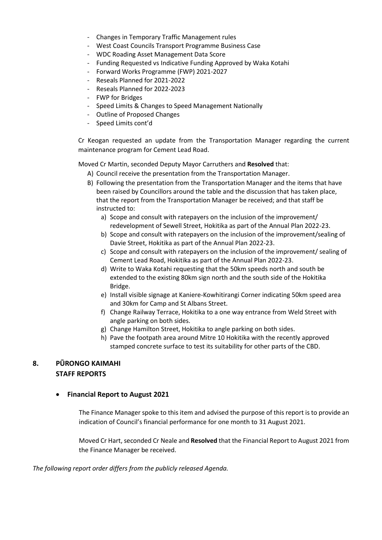- Changes in Temporary Traffic Management rules
- West Coast Councils Transport Programme Business Case
- WDC Roading Asset Management Data Score
- Funding Requested vs Indicative Funding Approved by Waka Kotahi
- Forward Works Programme (FWP) 2021-2027
- Reseals Planned for 2021-2022
- Reseals Planned for 2022-2023
- FWP for Bridges
- Speed Limits & Changes to Speed Management Nationally
- Outline of Proposed Changes
- Speed Limits cont'd

Cr Keogan requested an update from the Transportation Manager regarding the current maintenance program for Cement Lead Road.

Moved Cr Martin, seconded Deputy Mayor Carruthers and **Resolved** that:

- A) Council receive the presentation from the Transportation Manager.
- B) Following the presentation from the Transportation Manager and the items that have been raised by Councillors around the table and the discussion that has taken place, that the report from the Transportation Manager be received; and that staff be instructed to:
	- a) Scope and consult with ratepayers on the inclusion of the improvement/ redevelopment of Sewell Street, Hokitika as part of the Annual Plan 2022-23.
	- b) Scope and consult with ratepayers on the inclusion of the improvement/sealing of Davie Street, Hokitika as part of the Annual Plan 2022-23.
	- c) Scope and consult with ratepayers on the inclusion of the improvement/ sealing of Cement Lead Road, Hokitika as part of the Annual Plan 2022-23.
	- d) Write to Waka Kotahi requesting that the 50km speeds north and south be extended to the existing 80km sign north and the south side of the Hokitika Bridge.
	- e) Install visible signage at Kaniere-Kowhitirangi Corner indicating 50km speed area and 30km for Camp and St Albans Street.
	- f) Change Railway Terrace, Hokitika to a one way entrance from Weld Street with angle parking on both sides.
	- g) Change Hamilton Street, Hokitika to angle parking on both sides.
	- h) Pave the footpath area around Mitre 10 Hokitika with the recently approved stamped concrete surface to test its suitability for other parts of the CBD.

# **8. PŪRONGO KAIMAHI STAFF REPORTS**

#### **Financial Report to August 2021**

The Finance Manager spoke to this item and advised the purpose of this report is to provide an indication of Council's financial performance for one month to 31 August 2021.

Moved Cr Hart, seconded Cr Neale and **Resolved** that the Financial Report to August 2021 from the Finance Manager be received.

*The following report order differs from the publicly released Agenda.*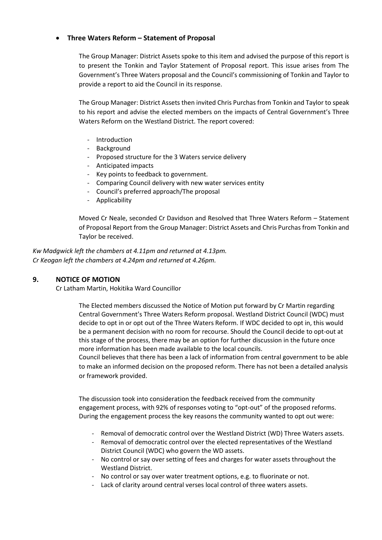#### **Three Waters Reform – Statement of Proposal**

The Group Manager: District Assets spoke to this item and advised the purpose of this report is to present the Tonkin and Taylor Statement of Proposal report. This issue arises from The Government's Three Waters proposal and the Council's commissioning of Tonkin and Taylor to provide a report to aid the Council in its response.

The Group Manager: District Assets then invited Chris Purchas from Tonkin and Taylor to speak to his report and advise the elected members on the impacts of Central Government's Three Waters Reform on the Westland District. The report covered:

- Introduction
- Background
- Proposed structure for the 3 Waters service delivery
- Anticipated impacts
- Key points to feedback to government.
- Comparing Council delivery with new water services entity
- Council's preferred approach/The proposal
- Applicability

Moved Cr Neale, seconded Cr Davidson and Resolved that Three Waters Reform – Statement of Proposal Report from the Group Manager: District Assets and Chris Purchas from Tonkin and Taylor be received.

*Kw Madgwick left the chambers at 4.11pm and returned at 4.13pm. Cr Keogan left the chambers at 4.24pm and returned at 4.26pm.*

#### **9. NOTICE OF MOTION**

Cr Latham Martin, Hokitika Ward Councillor

The Elected members discussed the Notice of Motion put forward by Cr Martin regarding Central Government's Three Waters Reform proposal. Westland District Council (WDC) must decide to opt in or opt out of the Three Waters Reform. If WDC decided to opt in, this would be a permanent decision with no room for recourse. Should the Council decide to opt-out at this stage of the process, there may be an option for further discussion in the future once more information has been made available to the local councils.

Council believes that there has been a lack of information from central government to be able to make an informed decision on the proposed reform. There has not been a detailed analysis or framework provided.

The discussion took into consideration the feedback received from the community engagement process, with 92% of responses voting to "opt-out" of the proposed reforms. During the engagement process the key reasons the community wanted to opt out were:

- Removal of democratic control over the Westland District (WD) Three Waters assets.
- Removal of democratic control over the elected representatives of the Westland District Council (WDC) who govern the WD assets.
- No control or say over setting of fees and charges for water assets throughout the Westland District.
- No control or say over water treatment options, e.g. to fluorinate or not.
- Lack of clarity around central verses local control of three waters assets.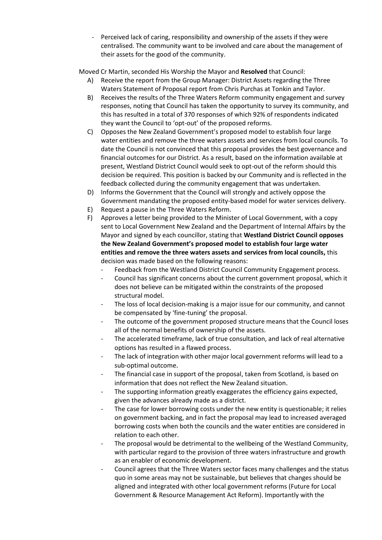Perceived lack of caring, responsibility and ownership of the assets if they were centralised. The community want to be involved and care about the management of their assets for the good of the community.

Moved Cr Martin, seconded His Worship the Mayor and **Resolved** that Council:

- A) Receive the report from the Group Manager: District Assets regarding the Three Waters Statement of Proposal report from Chris Purchas at Tonkin and Taylor.
- B) Receives the results of the Three Waters Reform community engagement and survey responses, noting that Council has taken the opportunity to survey its community, and this has resulted in a total of 370 responses of which 92% of respondents indicated they want the Council to 'opt-out' of the proposed reforms.
- C) Opposes the New Zealand Government's proposed model to establish four large water entities and remove the three waters assets and services from local councils. To date the Council is not convinced that this proposal provides the best governance and financial outcomes for our District. As a result, based on the information available at present, Westland District Council would seek to opt-out of the reform should this decision be required. This position is backed by our Community and is reflected in the feedback collected during the community engagement that was undertaken.
- D) Informs the Government that the Council will strongly and actively oppose the Government mandating the proposed entity-based model for water services delivery.
- E) Request a pause in the Three Waters Reform.
- F) Approves a letter being provided to the Minister of Local Government, with a copy sent to Local Government New Zealand and the Department of Internal Affairs by the Mayor and signed by each councillor, stating that **Westland District Council opposes the New Zealand Government's proposed model to establish four large water entities and remove the three waters assets and services from local councils,** this decision was made based on the following reasons:
	- Feedback from the Westland District Council Community Engagement process.
	- Council has significant concerns about the current government proposal, which it does not believe can be mitigated within the constraints of the proposed structural model.
	- The loss of local decision-making is a major issue for our community, and cannot be compensated by 'fine-tuning' the proposal.
	- The outcome of the government proposed structure means that the Council loses all of the normal benefits of ownership of the assets.
	- The accelerated timeframe, lack of true consultation, and lack of real alternative options has resulted in a flawed process.
	- The lack of integration with other major local government reforms will lead to a sub-optimal outcome.
	- The financial case in support of the proposal, taken from Scotland, is based on information that does not reflect the New Zealand situation.
	- The supporting information greatly exaggerates the efficiency gains expected, given the advances already made as a district.
	- The case for lower borrowing costs under the new entity is questionable; it relies on government backing, and in fact the proposal may lead to increased averaged borrowing costs when both the councils and the water entities are considered in relation to each other.
	- The proposal would be detrimental to the wellbeing of the Westland Community, with particular regard to the provision of three waters infrastructure and growth as an enabler of economic development.
	- Council agrees that the Three Waters sector faces many challenges and the status quo in some areas may not be sustainable, but believes that changes should be aligned and integrated with other local government reforms (Future for Local Government & Resource Management Act Reform). Importantly with the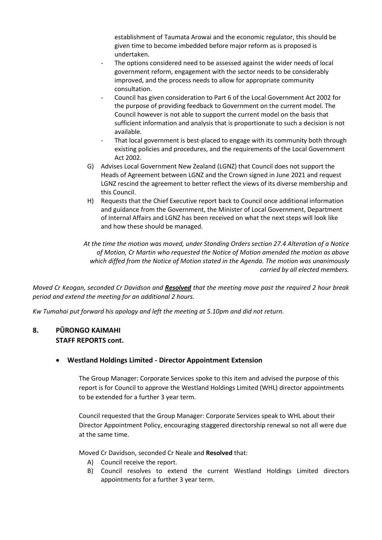establishment of Taumata Arowai and the economic regulator, this should be given time to become imbedded before major reform as is proposed is undertaken.

- The options considered need to be assessed against the wider needs of local government reform, engagement with the sector needs to be considerably improved, and the process needs to allow for appropriate community consultation.
- Council has given consideration to Part 6 of the Local Government Act 2002 for the purpose of providing feedback to Government on the current model. The Council however is not able to support the current model on the basis that sufficient information and analysis that is proportionate to such a decision is not available.
- That local government is best-placed to engage with its community both through existing policies and procedures, and the requirements of the Local Government Act 2002.
- G) Advises Local Government New Zealand (LGNZ) that Council does not support the Heads of Agreement between LGNZ and the Crown signed in June 2021 and request LGNZ rescind the agreement to better reflect the views of its diverse membership and this Council.
- H) Requests that the Chief Executive report back to Council once additional information and guidance from the Government, the Minister of Local Government, Department of Internal Affairs and LGNZ has been received on what the next steps will look like and how these should be managed.

*At the time the motion was moved, under Standing Orders section 27.4 Alteration of a Notice of Motion, Cr Martin who requested the Notice of Motion amended the motion as above which diffed from the Notice of Motion stated in the Agenda. The motion was unanimously carried by all elected members.*

*Moved Cr Keogan, seconded Cr Davidson and Resolved that the meeting move past the required 2 hour break period and extend the meeting for an additional 2 hours.*

*Kw Tumahai put forward his apology and left the meeting at 5.10pm and did not return.*

# **8. PŪRONGO KAIMAHI STAFF REPORTS cont.**

#### **Westland Holdings Limited - Director Appointment Extension**

The Group Manager: Corporate Services spoke to this item and advised the purpose of this report is for Council to approve the Westland Holdings Limited (WHL) director appointments to be extended for a further 3 year term.

Council requested that the Group Manager: Corporate Services speak to WHL about their Director Appointment Policy, encouraging staggered directorship renewal so not all were due at the same time.

Moved Cr Davidson, seconded Cr Neale and **Resolved** that:

- A) Council receive the report.
- B) Council resolves to extend the current Westland Holdings Limited directors appointments for a further 3 year term.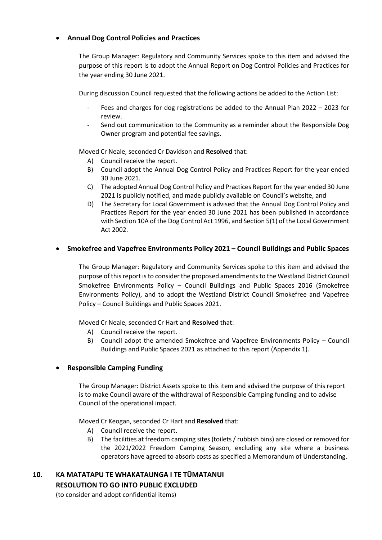## **Annual Dog Control Policies and Practices**

The Group Manager: Regulatory and Community Services spoke to this item and advised the purpose of this report is to adopt the Annual Report on Dog Control Policies and Practices for the year ending 30 June 2021.

During discussion Council requested that the following actions be added to the Action List:

- Fees and charges for dog registrations be added to the Annual Plan 2022 2023 for review.
- Send out communication to the Community as a reminder about the Responsible Dog Owner program and potential fee savings.

Moved Cr Neale, seconded Cr Davidson and **Resolved** that:

- A) Council receive the report.
- B) Council adopt the Annual Dog Control Policy and Practices Report for the year ended 30 June 2021.
- C) The adopted Annual Dog Control Policy and Practices Report for the year ended 30 June 2021 is publicly notified, and made publicly available on Council's website, and
- D) The Secretary for Local Government is advised that the Annual Dog Control Policy and Practices Report for the year ended 30 June 2021 has been published in accordance with Section 10A of the Dog Control Act 1996, and Section 5(1) of the Local Government Act 2002.

# **Smokefree and Vapefree Environments Policy 2021 – Council Buildings and Public Spaces**

The Group Manager: Regulatory and Community Services spoke to this item and advised the purpose of this report is to consider the proposed amendments to the Westland District Council Smokefree Environments Policy – Council Buildings and Public Spaces 2016 (Smokefree Environments Policy), and to adopt the Westland District Council Smokefree and Vapefree Policy – Council Buildings and Public Spaces 2021.

Moved Cr Neale, seconded Cr Hart and **Resolved** that:

- A) Council receive the report.
- B) Council adopt the amended Smokefree and Vapefree Environments Policy Council Buildings and Public Spaces 2021 as attached to this report (Appendix 1).

#### **Responsible Camping Funding**

The Group Manager: District Assets spoke to this item and advised the purpose of this report is to make Council aware of the withdrawal of Responsible Camping funding and to advise Council of the operational impact.

Moved Cr Keogan, seconded Cr Hart and **Resolved** that:

- A) Council receive the report.
- B) The facilities at freedom camping sites (toilets / rubbish bins) are closed or removed for the 2021/2022 Freedom Camping Season, excluding any site where a business operators have agreed to absorb costs as specified a Memorandum of Understanding.

# **10. KA MATATAPU TE WHAKATAUNGA I TE TŪMATANUI RESOLUTION TO GO INTO PUBLIC EXCLUDED**

(to consider and adopt confidential items)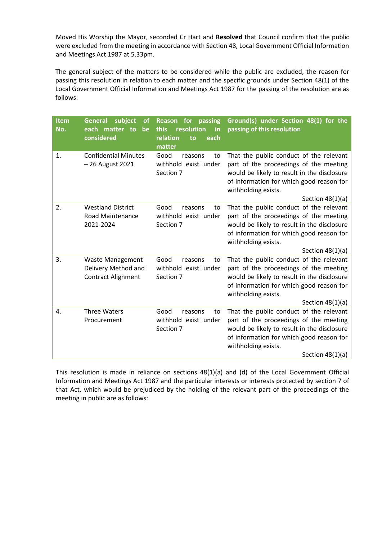Moved His Worship the Mayor, seconded Cr Hart and **Resolved** that Council confirm that the public were excluded from the meeting in accordance with Section 48, Local Government Official Information and Meetings Act 1987 at 5.33pm.

The general subject of the matters to be considered while the public are excluded, the reason for passing this resolution in relation to each matter and the specific grounds under Section 48(1) of the Local Government Official Information and Meetings Act 1987 for the passing of the resolution are as follows:

| <b>Item</b><br>No. | subject<br><b>General</b><br><b>of</b><br>each matter to<br>be<br>considered | for<br>passing<br><b>Reason</b><br>resolution<br>this<br>in<br>relation<br>to<br>each<br>matter | Ground(s) under Section 48(1) for the<br>passing of this resolution                                                                                                                                                       |
|--------------------|------------------------------------------------------------------------------|-------------------------------------------------------------------------------------------------|---------------------------------------------------------------------------------------------------------------------------------------------------------------------------------------------------------------------------|
| 1.                 | <b>Confidential Minutes</b><br>- 26 August 2021                              | Good<br>reasons<br>to<br>withhold exist under<br>Section 7                                      | That the public conduct of the relevant<br>part of the proceedings of the meeting<br>would be likely to result in the disclosure<br>of information for which good reason for<br>withholding exists.<br>Section $48(1)(a)$ |
| 2.                 | <b>Westland District</b><br><b>Road Maintenance</b><br>2021-2024             | Good<br>reasons<br>to<br>withhold exist under<br>Section 7                                      | That the public conduct of the relevant<br>part of the proceedings of the meeting<br>would be likely to result in the disclosure<br>of information for which good reason for<br>withholding exists.<br>Section $48(1)(a)$ |
| 3.                 | <b>Waste Management</b><br>Delivery Method and<br><b>Contract Alignment</b>  | Good<br>reasons<br>to<br>withhold exist under<br>Section 7                                      | That the public conduct of the relevant<br>part of the proceedings of the meeting<br>would be likely to result in the disclosure<br>of information for which good reason for<br>withholding exists.<br>Section $48(1)(a)$ |
| 4.                 | <b>Three Waters</b><br>Procurement                                           | Good<br>reasons<br>to<br>withhold exist under<br>Section 7                                      | That the public conduct of the relevant<br>part of the proceedings of the meeting<br>would be likely to result in the disclosure<br>of information for which good reason for<br>withholding exists.<br>Section $48(1)(a)$ |

This resolution is made in reliance on sections 48(1)(a) and (d) of the Local Government Official Information and Meetings Act 1987 and the particular interests or interests protected by section 7 of that Act, which would be prejudiced by the holding of the relevant part of the proceedings of the meeting in public are as follows: